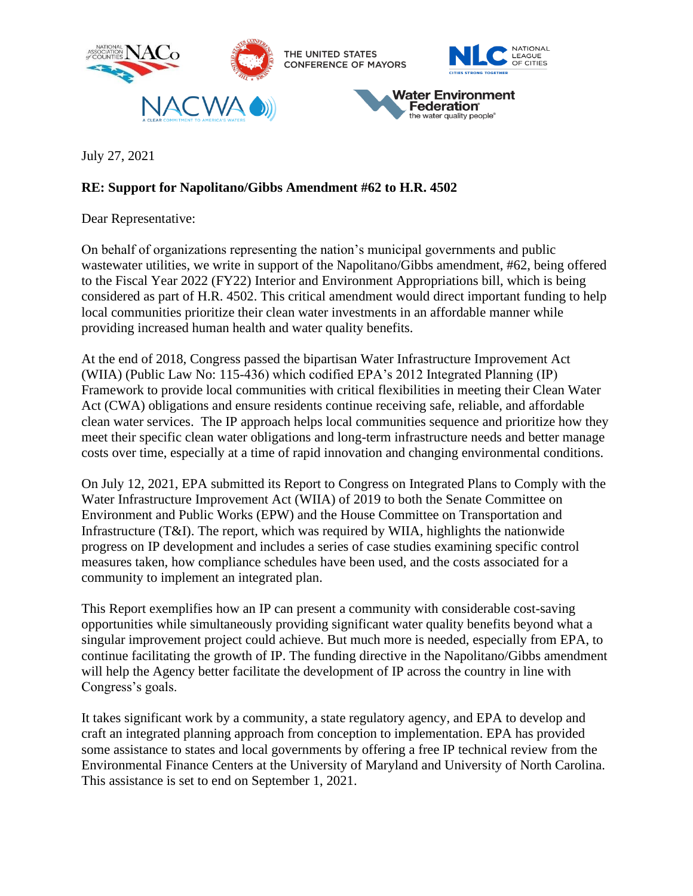

July 27, 2021

## **RE: Support for Napolitano/Gibbs Amendment #62 to H.R. 4502**

Dear Representative:

On behalf of organizations representing the nation's municipal governments and public wastewater utilities, we write in support of the Napolitano/Gibbs amendment, #62, being offered to the Fiscal Year 2022 (FY22) Interior and Environment Appropriations bill, which is being considered as part of H.R. 4502. This critical amendment would direct important funding to help local communities prioritize their clean water investments in an affordable manner while providing increased human health and water quality benefits.

At the end of 2018, Congress passed the bipartisan Water Infrastructure Improvement Act (WIIA) (Public Law No: 115-436) which codified EPA's 2012 Integrated Planning (IP) Framework to provide local communities with critical flexibilities in meeting their Clean Water Act (CWA) obligations and ensure residents continue receiving safe, reliable, and affordable clean water services. The IP approach helps local communities sequence and prioritize how they meet their specific clean water obligations and long-term infrastructure needs and better manage costs over time, especially at a time of rapid innovation and changing environmental conditions.

On July 12, 2021, EPA submitted its Report to Congress on Integrated Plans to Comply with the Water Infrastructure Improvement Act (WIIA) of 2019 to both the Senate Committee on Environment and Public Works (EPW) and the House Committee on Transportation and Infrastructure  $(T&I)$ . The report, which was required by WIIA, highlights the nationwide progress on IP development and includes a series of case studies examining specific control measures taken, how compliance schedules have been used, and the costs associated for a community to implement an integrated plan.

This Report exemplifies how an IP can present a community with considerable cost-saving opportunities while simultaneously providing significant water quality benefits beyond what a singular improvement project could achieve. But much more is needed, especially from EPA, to continue facilitating the growth of IP. The funding directive in the Napolitano/Gibbs amendment will help the Agency better facilitate the development of IP across the country in line with Congress's goals.

It takes significant work by a community, a state regulatory agency, and EPA to develop and craft an integrated planning approach from conception to implementation. EPA has provided some assistance to states and local governments by offering a free IP technical review from the Environmental Finance Centers at the University of Maryland and University of North Carolina. This assistance is set to end on September 1, 2021.